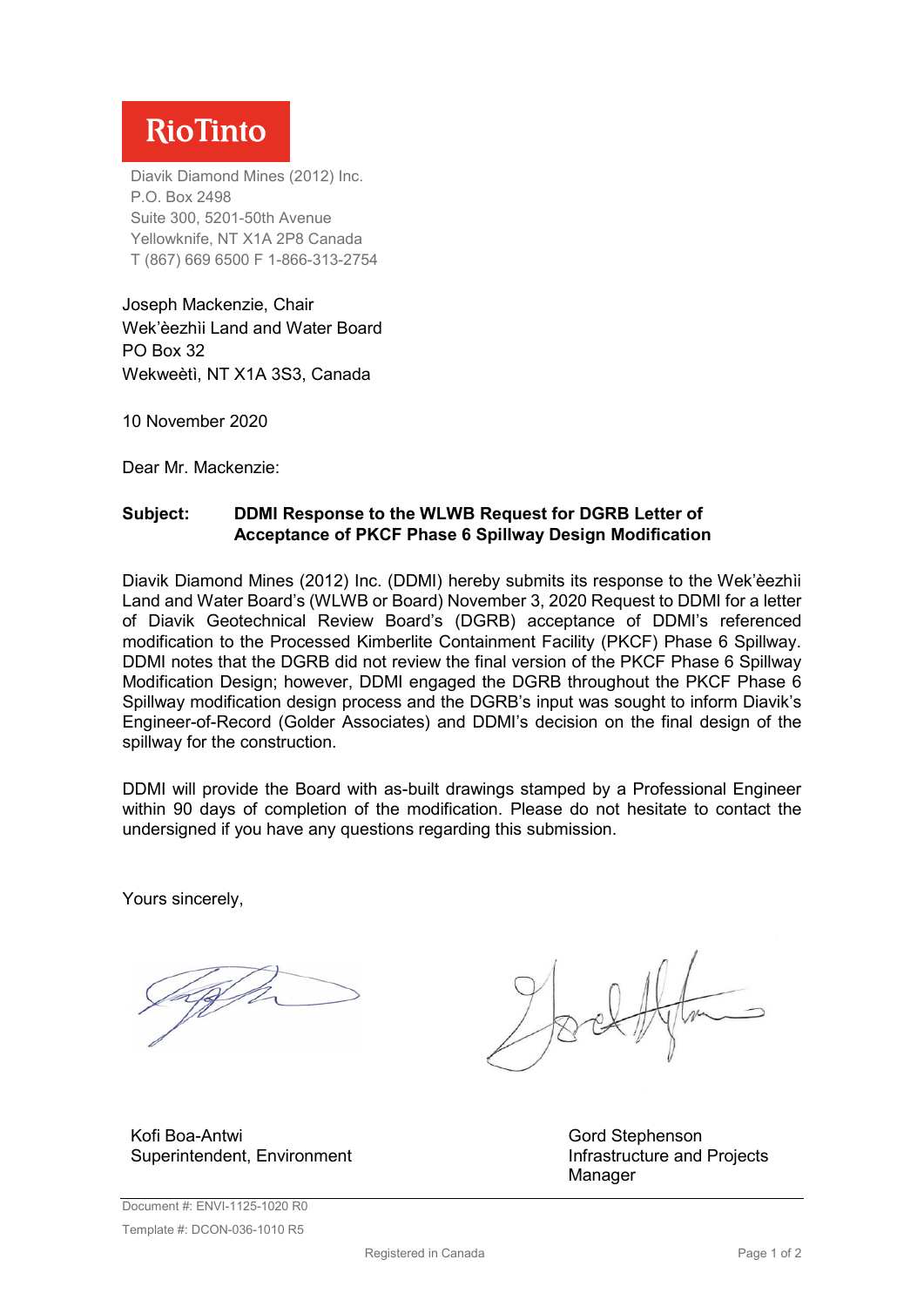## **RioTinto**

Diavik Diamond Mines (2012) Inc. P.O. Box 2498 Suite 300, 5201-50th Avenue Yellowknife, NT X1A 2P8 Canada T (867) 669 6500 F 1-866-313-2754

Joseph Mackenzie, Chair Wek'èezhìi Land and Water Board PO Box 32 Wekweètì, NT X1A 3S3, Canada

10 November 2020

Dear Mr. Mackenzie:

## **Subject: DDMI Response to the WLWB Request for DGRB Letter of Acceptance of PKCF Phase 6 Spillway Design Modification**

Diavik Diamond Mines (2012) Inc. (DDMI) hereby submits its response to the Wek'èezhìi Land and Water Board's (WLWB or Board) November 3, 2020 Request to DDMI for a letter of Diavik Geotechnical Review Board's (DGRB) acceptance of DDMI's referenced modification to the Processed Kimberlite Containment Facility (PKCF) Phase 6 Spillway. DDMI notes that the DGRB did not review the final version of the PKCF Phase 6 Spillway Modification Design; however, DDMI engaged the DGRB throughout the PKCF Phase 6 Spillway modification design process and the DGRB's input was sought to inform Diavik's Engineer-of-Record (Golder Associates) and DDMI's decision on the final design of the spillway for the construction.

DDMI will provide the Board with as-built drawings stamped by a Professional Engineer within 90 days of completion of the modification. Please do not hesitate to contact the undersigned if you have any questions regarding this submission.

Yours sincerely,

Kofi Boa-Antwi Superintendent, Environment

Gord Stephenson Infrastructure and Projects Manager

Document #: ENVI-1125-1020 R0 Template #: DCON-036-1010 R5